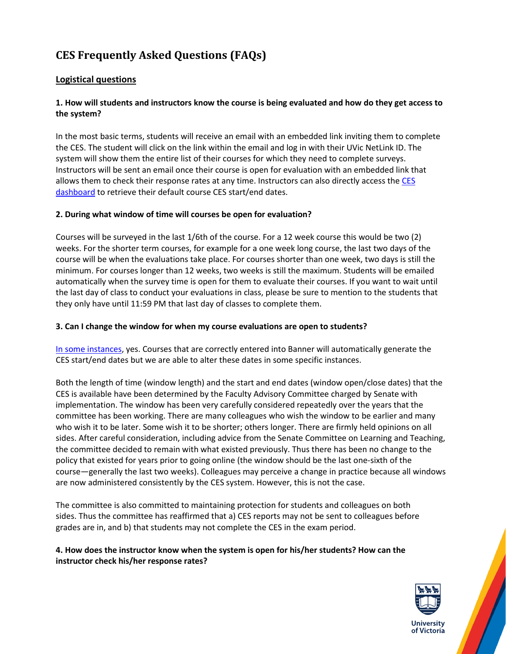# **CES Frequently Asked Questions (FAQs)**

# **Logistical questions**

### **1. How will students and instructors know the course is being evaluated and how do they get access to the system?**

In the most basic terms, students will receive an email with an embedded link inviting them to complete the CES. The student will click on the link within the email and log in with their UVic NetLink ID. The system will show them the entire list of their courses for which they need to complete surveys. Instructors will be sent an email once their course is open for evaluation with an embedded link that allows them to check their response rates at any time. Instructors can also directly access the CES [dashboard](http://www.uvic.ca/learningandteaching/faculty/resources/ces/login.php) to retrieve their default course CES start/end dates.

#### **2. During what window of time will courses be open for evaluation?**

Courses will be surveyed in the last 1/6th of the course. For a 12 week course this would be two (2) weeks. For the shorter term courses, for example for a one week long course, the last two days of the course will be when the evaluations take place. For courses shorter than one week, two days is still the minimum. For courses longer than 12 weeks, two weeks is still the maximum. Students will be emailed automatically when the survey time is open for them to evaluate their courses. If you want to wait until the last day of class to conduct your evaluations in class, please be sure to mention to the students that they only have until 11:59 PM that last day of classes to complete them.

#### **3. Can I change the window for when my course evaluations are open to students?**

[In some instances,](http://www.uvic.ca/learningandteaching/faculty/resources/ces/index.php#tabs-request--forms) yes. Courses that are correctly entered into Banner will automatically generate the CES start/end dates but we are able to alter these dates in some specific instances.

Both the length of time (window length) and the start and end dates (window open/close dates) that the CES is available have been determined by the Faculty Advisory Committee charged by Senate with implementation. The window has been very carefully considered repeatedly over the years that the committee has been working. There are many colleagues who wish the window to be earlier and many who wish it to be later. Some wish it to be shorter; others longer. There are firmly held opinions on all sides. After careful consideration, including advice from the Senate Committee on Learning and Teaching, the committee decided to remain with what existed previously. Thus there has been no change to the policy that existed for years prior to going online (the window should be the last one-sixth of the course—generally the last two weeks). Colleagues may perceive a change in practice because all windows are now administered consistently by the CES system. However, this is not the case.

The committee is also committed to maintaining protection for students and colleagues on both sides. Thus the committee has reaffirmed that a) CES reports may not be sent to colleagues before grades are in, and b) that students may not complete the CES in the exam period.

### **4. How does the instructor know when the system is open for his/her students? How can the instructor check his/her response rates?**

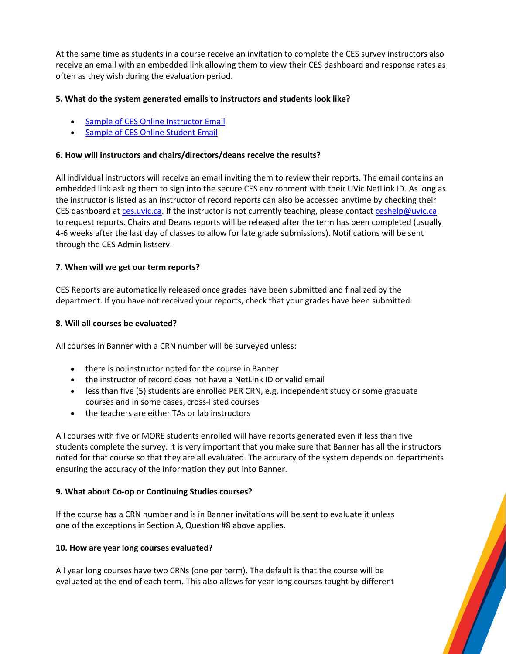At the same time as students in a course receive an invitation to complete the CES survey instructors also receive an email with an embedded link allowing them to view their CES dashboard and response rates as often as they wish during the evaluation period.

#### **5. What do the system generated emails to instructors and students look like?**

- [Sample of CES Online Instructor Email](https://www.uvic.ca/learningandteaching/assets/docs/instructors/for-review/courseexperiencesurvey/instructor_invite.pdf)
- [Sample of CES Online Student Email](https://www.uvic.ca/learningandteaching/assets/docs/instructors/for-review/courseexperiencesurvey/student_invite.pdf)

#### **6. How will instructors and chairs/directors/deans receive the results?**

All individual instructors will receive an email inviting them to review their reports. The email contains an embedded link asking them to sign into the secure CES environment with their UVic NetLink ID. As long as the instructor is listed as an instructor of record reports can also be accessed anytime by checking their CES dashboard at [ces.uvic.ca.](https://ces.uvic.ca/Blue) If the instructor is not currently teaching, please contact [ceshelp@uvic.ca](mailto:ceshelp@uvic.ca) to request reports. Chairs and Deans reports will be released after the term has been completed (usually 4-6 weeks after the last day of classes to allow for late grade submissions). Notifications will be sent through the CES Admin listserv.

#### **7. When will we get our term reports?**

CES Reports are automatically released once grades have been submitted and finalized by the department. If you have not received your reports, check that your grades have been submitted.

#### **8. Will all courses be evaluated?**

All courses in Banner with a CRN number will be surveyed unless:

- there is no instructor noted for the course in Banner
- the instructor of record does not have a NetLink ID or valid email
- less than five (5) students are enrolled PER CRN, e.g. independent study or some graduate courses and in some cases, cross-listed courses
- the teachers are either TAs or lab instructors

All courses with five or MORE students enrolled will have reports generated even if less than five students complete the survey. It is very important that you make sure that Banner has all the instructors noted for that course so that they are all evaluated. The accuracy of the system depends on departments ensuring the accuracy of the information they put into Banner.

#### **9. What about Co-op or Continuing Studies courses?**

If the course has a CRN number and is in Banner invitations will be sent to evaluate it unless one of the exceptions in Section A, Question #8 above applies.

#### **10. How are year long courses evaluated?**

All year long courses have two CRNs (one per term). The default is that the course will be evaluated at the end of each term. This also allows for year long courses taught by different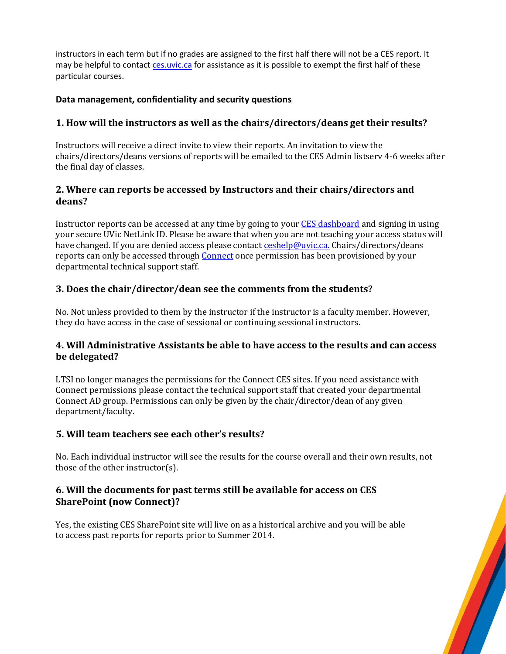instructors in each term but if no grades are assigned to the first half there will not be a CES report. It may be helpful to contac[t ces.uvic.ca](https://ces.uvic.ca/Blue) for assistance as it is possible to exempt the first half of these particular courses.

### **Data management, confidentiality and security questions**

# **1. How will the instructors as well as the chairs/directors/deans get their results?**

Instructors will receive a direct invite to view their reports. An invitation to view the chairs/directors/deans versions of reports will be emailed to the CES Admin listserv 4-6 weeks after the final day of classes.

### **2. Where can reports be accessed by Instructors and their chairs/directors and deans?**

Instructor reports can be accessed at any time by going to your [CES dashboard](http://www.uvic.ca/learningandteaching/faculty/resources/ces/login.php) and signing in using your secure UVic NetLink ID. Please be aware that when you are not teaching your access status will have changed. If you are denied access please contact **ceshelp@uvic.ca.** Chairs/directors/deans reports can only be accessed through [Connect](https://connect.uvic.ca/sites/vpac/LTSI/CES/) once permission has been provisioned by your departmental technical support staff.

# **3. Does the chair/director/dean see the comments from the students?**

No. Not unless provided to them by the instructor if the instructor is a faculty member. However, they do have access in the case of sessional or continuing sessional instructors.

### **4. Will Administrative Assistants be able to have access to the results and can access be delegated?**

LTSI no longer manages the permissions for the Connect CES sites. If you need assistance with Connect permissions please contact the technical support staff that created your departmental Connect AD group. Permissions can only be given by the chair/director/dean of any given department/faculty.

### **5. Will team teachers see each other's results?**

No. Each individual instructor will see the results for the course overall and their own results, not those of the other instructor(s).

# **6. Will the documents for past terms still be available for access on CES SharePoint (now Connect)?**

Yes, the existing CES SharePoint site will live on as a historical archive and you will be able to access past reports for reports prior to Summer 2014.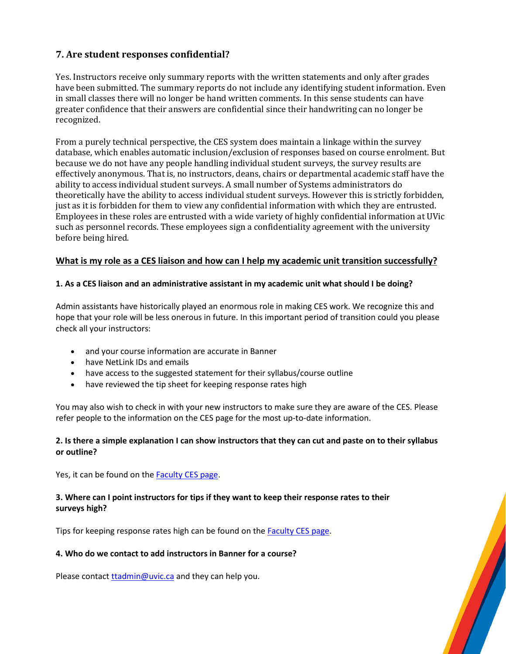# **7. Are student responses confidential?**

Yes. Instructors receive only summary reports with the written statements and only after grades have been submitted. The summary reports do not include any identifying student information. Even in small classes there will no longer be hand written comments. In this sense students can have greater confidence that their answers are confidential since their handwriting can no longer be recognized.

From a purely technical perspective, the CES system does maintain a linkage within the survey database, which enables automatic inclusion/exclusion of responses based on course enrolment. But because we do not have any people handling individual student surveys, the survey results are effectively anonymous. That is, no instructors, deans, chairs or departmental academic staff have the ability to access individual student surveys. A small number of Systems administrators do theoretically have the ability to access individual student surveys. However this is strictly forbidden, just as it is forbidden for them to view any confidential information with which they are entrusted. Employees in these roles are entrusted with a wide variety of highly confidential information at UVic such as personnel records. These employees sign a confidentiality agreement with the university before being hired.

#### **What is my role as a CES liaison and how can I help my academic unit transition successfully?**

#### **1. As a CES liaison and an administrative assistant in my academic unit what should I be doing?**

Admin assistants have historically played an enormous role in making CES work. We recognize this and hope that your role will be less onerous in future. In this important period of transition could you please check all your instructors:

- and your course information are accurate in Banner
- have NetLink IDs and emails
- have access to the suggested statement for their syllabus/course outline
- have reviewed the tip sheet for keeping response rates high

You may also wish to check in with your new instructors to make sure they are aware of the CES. Please refer people to the information on the CES page for the most up-to-date information.

#### **2. Is there a simple explanation I can show instructors that they can cut and paste on to their syllabus or outline?**

Yes, it can be found on the [Faculty CES page.](https://www.uvic.ca/learningandteaching/faculty/resources/ces/index.php)

#### **3. Where can I point instructors for tips if they want to keep their response rates to their surveys high?**

Tips for keeping response rates high can be found on the **Faculty CES** page.

#### **4. Who do we contact to add instructors in Banner for a course?**

Please contact [ttadmin@uvic.ca](mailto:ttadmin@uvic.ca) and they can help you.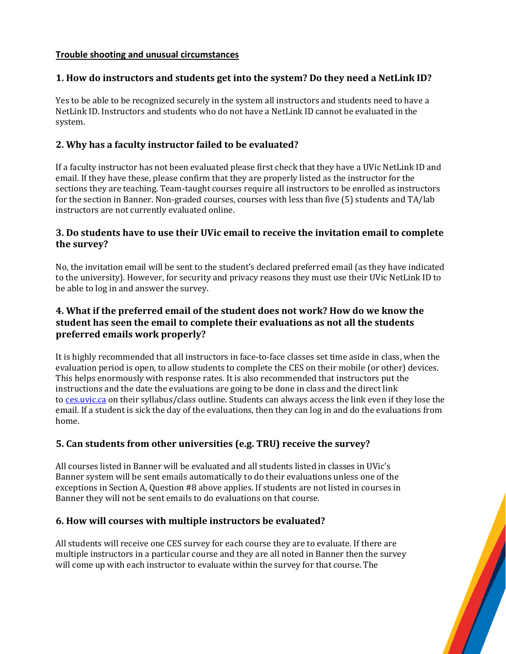### **Trouble shooting and unusual circumstances**

# **1. How do instructors and students get into the system? Do they need a NetLink ID?**

Yes to be able to be recognized securely in the system all instructors and students need to have a NetLink ID. Instructors and students who do not have a NetLink ID cannot be evaluated in the system.

# **2. Why has a faculty instructor failed to be evaluated?**

If a faculty instructor has not been evaluated please first check that they have a UVic NetLink ID and email. If they have these, please confirm that they are properly listed as the instructor for the sections they are teaching. Team-taught courses require all instructors to be enrolled as instructors for the section in Banner. Non-graded courses, courses with less than five (5) students and TA/lab instructors are not currently evaluated online.

# **3. Do students have to use their UVic email to receive the invitation email to complete the survey?**

No, the invitation email will be sent to the student's declared preferred email (as they have indicated to the university). However, for security and privacy reasons they must use their UVic NetLink ID to be able to log in and answer the survey.

# **4. What if the preferred email of the student does not work? How do we know the student has seen the email to complete their evaluations as not all the students preferred emails work properly?**

It is highly recommended that all instructors in face-to-face classes set time aside in class, when the evaluation period is open, to allow students to complete the CES on their mobile (or other) devices. This helps enormously with response rates. It is also recommended that instructors put the instructions and the date the evaluations are going to be done in class and the direct link to [ces.uvic.ca](https://ces.uvic.ca/) on their syllabus/class outline. Students can always access the link even if they lose the email. If a student is sick the day of the evaluations, then they can log in and do the evaluations from home.

# **5. Can students from other universities (e.g. TRU) receive the survey?**

All courses listed in Banner will be evaluated and all students listed in classes in UVic's Banner system will be sent emails automatically to do their evaluations unless one of the exceptions in Section A, Question #8 above applies. If students are not listed in courses in Banner they will not be sent emails to do evaluations on that course.

### **6. How will courses with multiple instructors be evaluated?**

All students will receive one CES survey for each course they are to evaluate. If there are multiple instructors in a particular course and they are all noted in Banner then the survey will come up with each instructor to evaluate within the survey for that course. The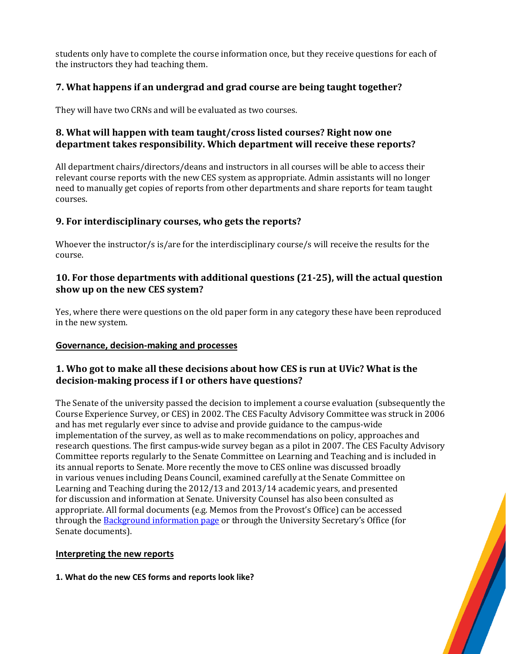students only have to complete the course information once, but they receive questions for each of the instructors they had teaching them.

# **7. What happens if an undergrad and grad course are being taught together?**

They will have two CRNs and will be evaluated as two courses.

# **8. What will happen with team taught/cross listed courses? Right now one department takes responsibility. Which department will receive these reports?**

All department chairs/directors/deans and instructors in all courses will be able to access their relevant course reports with the new CES system as appropriate. Admin assistants will no longer need to manually get copies of reports from other departments and share reports for team taught courses.

# **9. For interdisciplinary courses, who gets the reports?**

Whoever the instructor/s is/are for the interdisciplinary course/s will receive the results for the course.

### **10. For those departments with additional questions (21-25), will the actual question show up on the new CES system?**

Yes, where there were questions on the old paper form in any category these have been reproduced in the new system.

### **Governance, decision-making and processes**

# **1. Who got to make all these decisions about how CES is run at UVic? What is the decision-making process if I or others have questions?**

The Senate of the university passed the decision to implement a course evaluation (subsequently the Course Experience Survey, or CES) in 2002. The CES Faculty Advisory Committee was struck in 2006 and has met regularly ever since to advise and provide guidance to the campus-wide implementation of the survey, as well as to make recommendations on policy, approaches and research questions. The first campus-wide survey began as a pilot in 2007. The CES Faculty Advisory Committee reports regularly to the Senate Committee on Learning and Teaching and is included in its annual reports to Senate. More recently the move to CES online was discussed broadly in various venues including Deans Council, examined carefully at the Senate Committee on Learning and Teaching during the 2012/13 and 2013/14 academic years, and presented for discussion and information at Senate. University Counsel has also been consulted as appropriate. All formal documents (e.g. Memos from the Provost's Office) can be accessed through the **Background information page** or through the University Secretary's Office (for Senate documents).

### **Interpreting the new reports**

**1. What do the new CES forms and reports look like?**